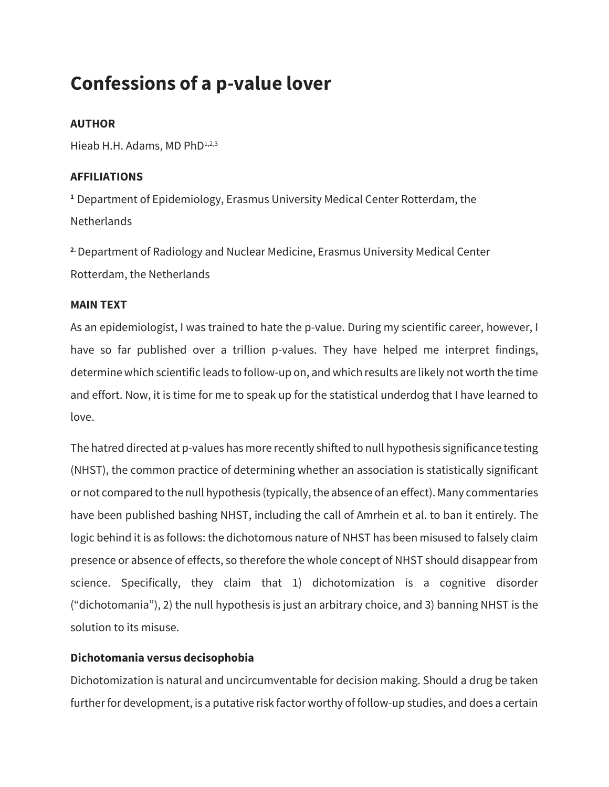# **Confessions of a p-value lover**

# **AUTHOR**

Hieab H.H. Adams, MD PhD<sup>1,2,3</sup>

# **AFFILIATIONS**

**<sup>1</sup>** Department of Epidemiology, Erasmus University Medical Center Rotterdam, the **Netherlands** 

**2.** Department of Radiology and Nuclear Medicine, Erasmus University Medical Center Rotterdam, the Netherlands

### **MAIN TEXT**

As an epidemiologist, I was trained to hate the p-value. During my scientific career, however, I have so far published over a trillion p-values. They have helped me interpret findings, determine which scientific leads to follow-up on, and which results are likely not worth the time and effort. Now, it is time for me to speak up for the statistical underdog that I have learned to love.

The hatred directed at p-values has more recently shifted to null hypothesis significance testing (NHST), the common practice of determining whether an association is statistically significant or not compared to the null hypothesis (typically, the absence of an effect). Many commentaries have been published bashing NHST, including the call of Amrhein et al. to ban it entirely. The logic behind it is as follows: the dichotomous nature of NHST has been misused to falsely claim presence or absence of effects, so therefore the whole concept of NHST should disappear from science. Specifically, they claim that 1) dichotomization is a cognitive disorder ("dichotomania"), 2) the null hypothesis is just an arbitrary choice, and 3) banning NHST is the solution to its misuse.

## **Dichotomania versus decisophobia**

Dichotomization is natural and uncircumventable for decision making. Should a drug be taken further for development, is a putative risk factor worthy of follow-up studies, and does a certain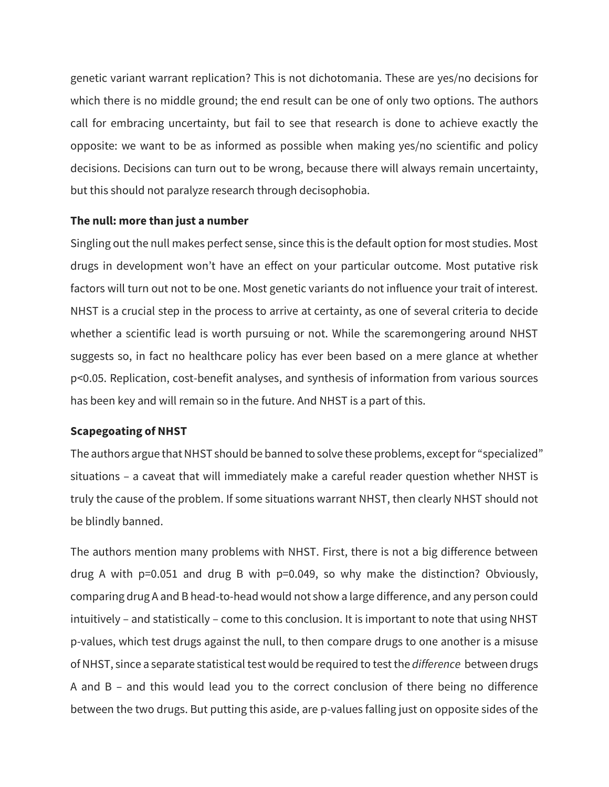genetic variant warrant replication? This is not dichotomania. These are yes/no decisions for which there is no middle ground; the end result can be one of only two options. The authors call for embracing uncertainty, but fail to see that research is done to achieve exactly the opposite: we want to be as informed as possible when making yes/no scientific and policy decisions. Decisions can turn out to be wrong, because there will always remain uncertainty, but this should not paralyze research through decisophobia.

#### **The null: more than just a number**

Singling out the null makes perfect sense, since this is the default option for most studies. Most drugs in development won't have an effect on your particular outcome. Most putative risk factors will turn out not to be one. Most genetic variants do not influence your trait of interest. NHST is a crucial step in the process to arrive at certainty, as one of several criteria to decide whether a scientific lead is worth pursuing or not. While the scaremongering around NHST suggests so, in fact no healthcare policy has ever been based on a mere glance at whether p<0.05. Replication, cost-benefit analyses, and synthesis of information from various sources has been key and will remain so in the future. And NHST is a part of this.

#### **Scapegoating of NHST**

The authors argue that NHST should be banned to solve these problems, except for "specialized" situations – a caveat that will immediately make a careful reader question whether NHST is truly the cause of the problem. If some situations warrant NHST, then clearly NHST should not be blindly banned.

The authors mention many problems with NHST. First, there is not a big difference between drug A with p=0.051 and drug B with p=0.049, so why make the distinction? Obviously, comparing drug A and B head-to-head would not show a large difference, and any person could intuitively – and statistically – come to this conclusion. It is important to note that using NHST p-values, which test drugs against the null, to then compare drugs to one another is a misuse of NHST, since a separate statistical test would be required to test the *difference* between drugs A and B – and this would lead you to the correct conclusion of there being no difference between the two drugs. But putting this aside, are p-values falling just on opposite sides of the